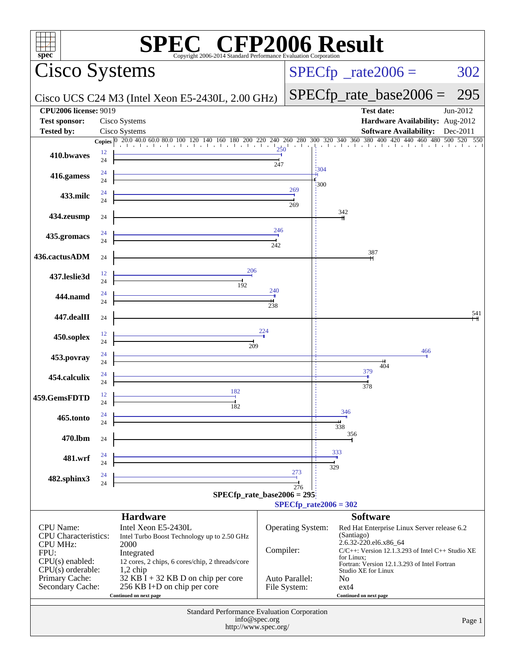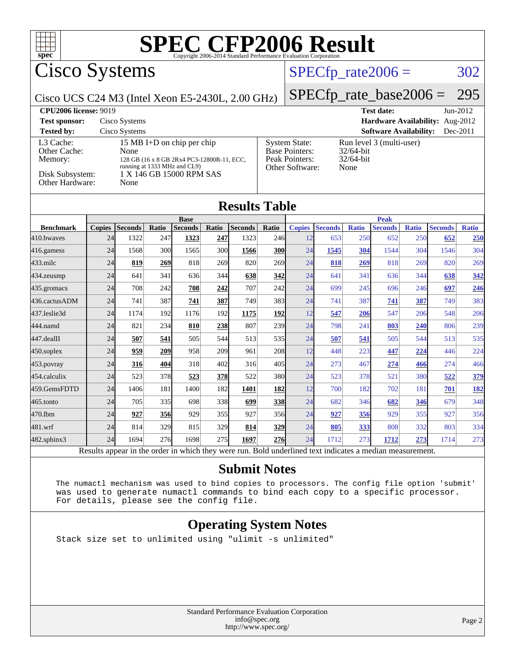

Cisco Systems

### $SPECTp_rate2006 = 302$

Cisco UCS C24 M3 (Intel Xeon E5-2430L, 2.00 GHz)

[SPECfp\\_rate\\_base2006 =](http://www.spec.org/auto/cpu2006/Docs/result-fields.html#SPECfpratebase2006) 295

| <b>CPU2006 license: 9019</b>                                               |                                                                                                                                                      |                                                                                    | <b>Test date:</b><br>$Jun-2012$                                  |  |  |  |
|----------------------------------------------------------------------------|------------------------------------------------------------------------------------------------------------------------------------------------------|------------------------------------------------------------------------------------|------------------------------------------------------------------|--|--|--|
| <b>Test sponsor:</b>                                                       | Cisco Systems                                                                                                                                        | Hardware Availability: Aug-2012                                                    |                                                                  |  |  |  |
| <b>Tested by:</b>                                                          | Cisco Systems                                                                                                                                        |                                                                                    | <b>Software Availability:</b><br>$Dec-2011$                      |  |  |  |
| L3 Cache:<br>Other Cache:<br>Memory:<br>Disk Subsystem:<br>Other Hardware: | 15 MB I+D on chip per chip<br>None<br>128 GB (16 x 8 GB 2Rx4 PC3-12800R-11, ECC,<br>running at 1333 MHz and CL9)<br>1 X 146 GB 15000 RPM SAS<br>None | <b>System State:</b><br><b>Base Pointers:</b><br>Peak Pointers:<br>Other Software: | Run level 3 (multi-user)<br>$32/64$ -bit<br>$32/64$ -bit<br>None |  |  |  |

### **[Results Table](http://www.spec.org/auto/cpu2006/Docs/result-fields.html#ResultsTable)**

|                   |               |                         |              | <b>Base</b>    |            |                |            |                             |                                 |              | <b>Peak</b>    |              |                |              |
|-------------------|---------------|-------------------------|--------------|----------------|------------|----------------|------------|-----------------------------|---------------------------------|--------------|----------------|--------------|----------------|--------------|
| <b>Benchmark</b>  | <b>Copies</b> | <b>Seconds</b>          | Ratio        | <b>Seconds</b> | Ratio      | <b>Seconds</b> | Ratio      | <b>Copies</b>               | <b>Seconds</b>                  | <b>Ratio</b> | <b>Seconds</b> | <b>Ratio</b> | <b>Seconds</b> | <b>Ratio</b> |
| 410.bwayes        | 24            | 1322                    | 247          | 1323           | 247        | 1323           | 246        | 12                          | 653                             | 250          | 652            | 250          | 652            | 250          |
| $416$ .gamess     | 24            | 1568                    | 300          | 1565           | 300        | 1566           | <u>300</u> | 24                          | 1545                            | 304          | 1544           | 304          | 1546           | 304          |
| $433$ .milc       | 24            | 819                     | 269          | 818            | 269        | 820            | 269        | 24                          | 818                             | 269          | 818            | 269          | 820            | 269          |
| $ 434$ . zeusmp   | 24            | 641                     | 341          | 636            | 344        | 638            | 342        | 24                          | 641                             | 341          | 636            | 344          | 638            | 342          |
| $ 435$ .gromacs   | 24            | 708                     | 242          | 708            | 242        | 707            | 242        | 24                          | 699                             | 245          | 696            | 246          | 697            | 246          |
| 436.cactusADM     | 24            | 741                     | 387          | 741            | 387        | 749            | 383I       | 24                          | 741                             | 387          | 741            | 387          | 749            | 383          |
| 437.leslie3d      | 24            | 1174                    | 192          | 1176           | 192        | 1175           | 192        | 12                          | 547                             | 206          | 547            | 206          | 548            | 206          |
| 444.namd          | 24            | 821                     | 234          | 810            | 238        | 807            | 239        | 24                          | 798                             | 241          | 803            | 240          | 806            | 239          |
| 447.dealII        | 24            | 507                     | 541          | 505            | 544        | 513            | 535l       | 24                          | 507                             | 541          | 505            | 544          | 513            | 535          |
| $450$ .soplex     | 24            | 959                     | 209          | 958            | <b>209</b> | 961            | <b>208</b> | 12                          | 448                             | 223          | 447            | 224          | 446            | 224          |
| 453.povray        | 24            | 316                     | 404          | 318            | 402        | 316            | 405        | 24                          | 273                             | 467          | 274            | 466          | 274            | 466          |
| 454.calculix      | 24            | 523                     | 378          | 523            | <b>378</b> | 522            | 380l       | 24                          | 523                             | 378          | 521            | 380          | 522            | 379          |
| 459.GemsFDTD      | 24            | 1406                    | 181          | 1400           | 182        | 1401           | 182        | 12                          | 700                             | 182          | 702            | 181          | 701            | <u>182</u>   |
| $465$ .tonto      | 24            | 705                     | 335          | 698            | 338        | 699            | <u>338</u> | 24                          | 682                             | 346          | 682            | 346          | 679            | 348          |
| 470.1bm           | 24            | 927                     | 356          | 929            | 355        | 927            | 356        | 24                          | 927                             | 356          | 929            | 355          | 927            | 356          |
| 481.wrf           | 24            | 814                     | 329          | 815            | 329        | 814            | 329        | 24                          | 805                             | 333          | 808            | 332          | 803            | 334          |
| $482$ .sphinx $3$ | 24            | 1694                    | 276          | 1698           | 275        | 1697           | <b>276</b> | 24                          | 1712                            | 273          | 1712           | 273          | 1714           | 273          |
| n.                | $\mathbf{1}$  | $\cdot$ $\cdot$ $\cdot$ | $\mathbf{1}$ | 1.1.1.1        |            |                | $T = 11$   | $1 \quad 1$<br>$\mathbf{1}$ | $\cdot$ $\cdot$ $\cdot$ $\cdot$ |              | $\cdot$        |              |                |              |

Results appear in the [order in which they were run.](http://www.spec.org/auto/cpu2006/Docs/result-fields.html#RunOrder) Bold underlined text [indicates a median measurement.](http://www.spec.org/auto/cpu2006/Docs/result-fields.html#Median)

#### **[Submit Notes](http://www.spec.org/auto/cpu2006/Docs/result-fields.html#SubmitNotes)**

 The numactl mechanism was used to bind copies to processors. The config file option 'submit' was used to generate numactl commands to bind each copy to a specific processor. For details, please see the config file.

### **[Operating System Notes](http://www.spec.org/auto/cpu2006/Docs/result-fields.html#OperatingSystemNotes)**

Stack size set to unlimited using "ulimit -s unlimited"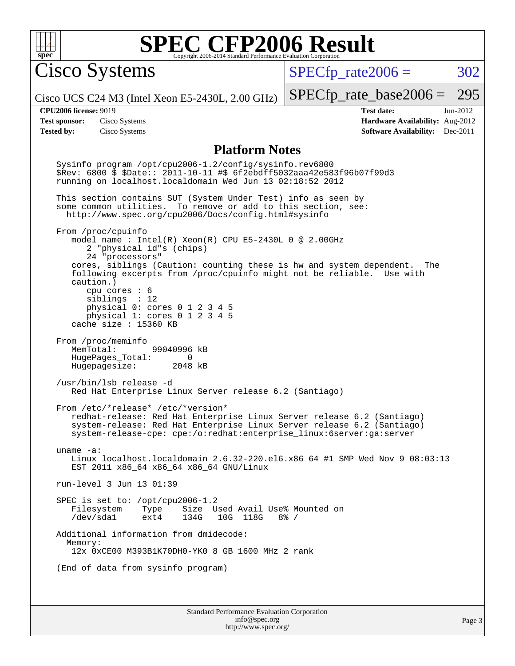

Cisco Systems

 $SPECTp\_rate2006 = 302$ 

Cisco UCS C24 M3 (Intel Xeon E5-2430L, 2.00 GHz)

[SPECfp\\_rate\\_base2006 =](http://www.spec.org/auto/cpu2006/Docs/result-fields.html#SPECfpratebase2006) 295

**[Tested by:](http://www.spec.org/auto/cpu2006/Docs/result-fields.html#Testedby)** Cisco Systems **[Software Availability:](http://www.spec.org/auto/cpu2006/Docs/result-fields.html#SoftwareAvailability)** Dec-2011

**[CPU2006 license:](http://www.spec.org/auto/cpu2006/Docs/result-fields.html#CPU2006license)** 9019 **[Test date:](http://www.spec.org/auto/cpu2006/Docs/result-fields.html#Testdate)** Jun-2012 **[Test sponsor:](http://www.spec.org/auto/cpu2006/Docs/result-fields.html#Testsponsor)** Cisco Systems **[Hardware Availability:](http://www.spec.org/auto/cpu2006/Docs/result-fields.html#HardwareAvailability)** Aug-2012

#### **[Platform Notes](http://www.spec.org/auto/cpu2006/Docs/result-fields.html#PlatformNotes)**

Standard Performance Evaluation Corporation [info@spec.org](mailto:info@spec.org) Sysinfo program /opt/cpu2006-1.2/config/sysinfo.rev6800 \$Rev: 6800 \$ \$Date:: 2011-10-11 #\$ 6f2ebdff5032aaa42e583f96b07f99d3 running on localhost.localdomain Wed Jun 13 02:18:52 2012 This section contains SUT (System Under Test) info as seen by some common utilities. To remove or add to this section, see: <http://www.spec.org/cpu2006/Docs/config.html#sysinfo> From /proc/cpuinfo model name : Intel(R) Xeon(R) CPU E5-2430L 0 @ 2.00GHz 2 "physical id"s (chips) 24 "processors" cores, siblings (Caution: counting these is hw and system dependent. The following excerpts from /proc/cpuinfo might not be reliable. Use with caution.) cpu cores : 6 siblings : 12 physical 0: cores 0 1 2 3 4 5 physical 1: cores 0 1 2 3 4 5 cache size : 15360 KB From /proc/meminfo<br>MemTotal: 99040996 kB HugePages\_Total: 0<br>Hugepagesize: 2048 kB Hugepagesize: /usr/bin/lsb\_release -d Red Hat Enterprise Linux Server release 6.2 (Santiago) From /etc/\*release\* /etc/\*version\* redhat-release: Red Hat Enterprise Linux Server release 6.2 (Santiago) system-release: Red Hat Enterprise Linux Server release 6.2 (Santiago) system-release-cpe: cpe:/o:redhat:enterprise\_linux:6server:ga:server uname -a: Linux localhost.localdomain 2.6.32-220.el6.x86\_64 #1 SMP Wed Nov 9 08:03:13 EST 2011 x86\_64 x86\_64 x86\_64 GNU/Linux run-level 3 Jun 13 01:39 SPEC is set to: /opt/cpu2006-1.2 Filesystem Type Size Used Avail Use% Mounted on<br>
/dev/sda1 ext4 134G 10G 118G 8% / 10G 118G Additional information from dmidecode: Memory: 12x 0xCE00 M393B1K70DH0-YK0 8 GB 1600 MHz 2 rank (End of data from sysinfo program)

<http://www.spec.org/>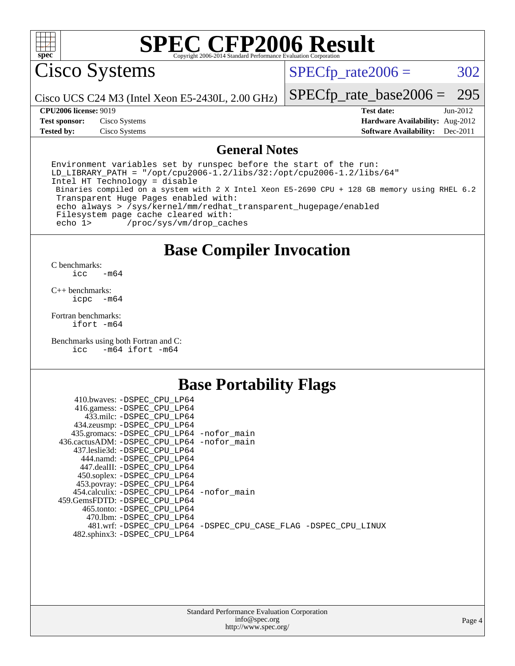

Cisco Systems

 $SPECTp_rate2006 = 302$ 

Cisco UCS C24 M3 (Intel Xeon E5-2430L, 2.00 GHz)

[SPECfp\\_rate\\_base2006 =](http://www.spec.org/auto/cpu2006/Docs/result-fields.html#SPECfpratebase2006) 295

**[Tested by:](http://www.spec.org/auto/cpu2006/Docs/result-fields.html#Testedby)** Cisco Systems **[Software Availability:](http://www.spec.org/auto/cpu2006/Docs/result-fields.html#SoftwareAvailability)** Dec-2011

**[CPU2006 license:](http://www.spec.org/auto/cpu2006/Docs/result-fields.html#CPU2006license)** 9019 **[Test date:](http://www.spec.org/auto/cpu2006/Docs/result-fields.html#Testdate)** Jun-2012 **[Test sponsor:](http://www.spec.org/auto/cpu2006/Docs/result-fields.html#Testsponsor)** Cisco Systems **[Hardware Availability:](http://www.spec.org/auto/cpu2006/Docs/result-fields.html#HardwareAvailability)** Aug-2012

#### **[General Notes](http://www.spec.org/auto/cpu2006/Docs/result-fields.html#GeneralNotes)**

Environment variables set by runspec before the start of the run: LD\_LIBRARY\_PATH = "/opt/cpu2006-1.2/libs/32:/opt/cpu2006-1.2/libs/64" Intel HT Technology = disable Binaries compiled on a system with 2 X Intel Xeon E5-2690 CPU + 128 GB memory using RHEL 6.2 Transparent Huge Pages enabled with: echo always > /sys/kernel/mm/redhat\_transparent\_hugepage/enabled Filesystem page cache cleared with: echo 1> /proc/sys/vm/drop\_caches

### **[Base Compiler Invocation](http://www.spec.org/auto/cpu2006/Docs/result-fields.html#BaseCompilerInvocation)**

 $C$  benchmarks:<br>icc  $-m64$ 

[C++ benchmarks:](http://www.spec.org/auto/cpu2006/Docs/result-fields.html#CXXbenchmarks) [icpc -m64](http://www.spec.org/cpu2006/results/res2012q3/cpu2006-20120618-22981.flags.html#user_CXXbase_intel_icpc_64bit_bedb90c1146cab66620883ef4f41a67e)

[Fortran benchmarks](http://www.spec.org/auto/cpu2006/Docs/result-fields.html#Fortranbenchmarks): [ifort -m64](http://www.spec.org/cpu2006/results/res2012q3/cpu2006-20120618-22981.flags.html#user_FCbase_intel_ifort_64bit_ee9d0fb25645d0210d97eb0527dcc06e)

[Benchmarks using both Fortran and C](http://www.spec.org/auto/cpu2006/Docs/result-fields.html#BenchmarksusingbothFortranandC): [icc -m64](http://www.spec.org/cpu2006/results/res2012q3/cpu2006-20120618-22981.flags.html#user_CC_FCbase_intel_icc_64bit_0b7121f5ab7cfabee23d88897260401c) [ifort -m64](http://www.spec.org/cpu2006/results/res2012q3/cpu2006-20120618-22981.flags.html#user_CC_FCbase_intel_ifort_64bit_ee9d0fb25645d0210d97eb0527dcc06e)

### **[Base Portability Flags](http://www.spec.org/auto/cpu2006/Docs/result-fields.html#BasePortabilityFlags)**

| 410.bwaves: -DSPEC CPU LP64                 |                                                                |
|---------------------------------------------|----------------------------------------------------------------|
| 416.gamess: -DSPEC_CPU_LP64                 |                                                                |
| 433.milc: -DSPEC CPU LP64                   |                                                                |
| 434.zeusmp: - DSPEC_CPU_LP64                |                                                                |
| 435.gromacs: -DSPEC_CPU_LP64 -nofor_main    |                                                                |
| 436.cactusADM: -DSPEC CPU LP64 -nofor main  |                                                                |
| 437.leslie3d: -DSPEC CPU LP64               |                                                                |
| 444.namd: -DSPEC CPU LP64                   |                                                                |
| 447.dealII: -DSPEC_CPU LP64                 |                                                                |
| 450.soplex: -DSPEC_CPU_LP64                 |                                                                |
| 453.povray: -DSPEC_CPU_LP64                 |                                                                |
| 454.calculix: - DSPEC CPU LP64 - nofor main |                                                                |
| 459. GemsFDTD: - DSPEC CPU LP64             |                                                                |
| 465.tonto: - DSPEC CPU LP64                 |                                                                |
| 470.1bm: - DSPEC_CPU LP64                   |                                                                |
|                                             | 481.wrf: -DSPEC CPU_LP64 -DSPEC_CPU_CASE_FLAG -DSPEC_CPU_LINUX |
| 482.sphinx3: -DSPEC_CPU_LP64                |                                                                |
|                                             |                                                                |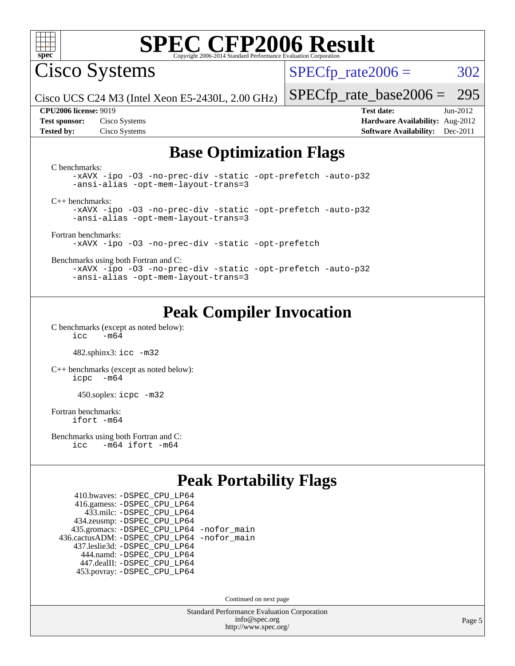

Cisco Systems

 $SPECTp_rate2006 = 302$ 

Cisco UCS C24 M3 (Intel Xeon E5-2430L, 2.00 GHz)

[SPECfp\\_rate\\_base2006 =](http://www.spec.org/auto/cpu2006/Docs/result-fields.html#SPECfpratebase2006) 295

**[Tested by:](http://www.spec.org/auto/cpu2006/Docs/result-fields.html#Testedby)** Cisco Systems **[Software Availability:](http://www.spec.org/auto/cpu2006/Docs/result-fields.html#SoftwareAvailability)** Dec-2011

**[CPU2006 license:](http://www.spec.org/auto/cpu2006/Docs/result-fields.html#CPU2006license)** 9019 **[Test date:](http://www.spec.org/auto/cpu2006/Docs/result-fields.html#Testdate)** Jun-2012 **[Test sponsor:](http://www.spec.org/auto/cpu2006/Docs/result-fields.html#Testsponsor)** Cisco Systems **[Hardware Availability:](http://www.spec.org/auto/cpu2006/Docs/result-fields.html#HardwareAvailability)** Aug-2012

## **[Base Optimization Flags](http://www.spec.org/auto/cpu2006/Docs/result-fields.html#BaseOptimizationFlags)**

| C benchmarks:<br>-xAVX -ipo -03 -no-prec-div -static -opt-prefetch -auto-p32<br>-ansi-alias -opt-mem-layout-trans=3 |
|---------------------------------------------------------------------------------------------------------------------|
| $C_{++}$ benchmarks:                                                                                                |
| -xAVX -ipo -03 -no-prec-div -static -opt-prefetch -auto-p32                                                         |
| -ansi-alias -opt-mem-layout-trans=3                                                                                 |
| Fortran benchmarks:                                                                                                 |
| -xAVX -ipo -03 -no-prec-div -static -opt-prefetch                                                                   |
|                                                                                                                     |
| Benchmarks using both Fortran and C:                                                                                |
| -xAVX -ipo -03 -no-prec-div -static -opt-prefetch -auto-p32                                                         |
| -ansi-alias -opt-mem-layout-trans=3                                                                                 |

## **[Peak Compiler Invocation](http://www.spec.org/auto/cpu2006/Docs/result-fields.html#PeakCompilerInvocation)**

[C benchmarks \(except as noted below\)](http://www.spec.org/auto/cpu2006/Docs/result-fields.html#Cbenchmarksexceptasnotedbelow):  $\text{icc}$   $-\text{m64}$ 

482.sphinx3: [icc -m32](http://www.spec.org/cpu2006/results/res2012q3/cpu2006-20120618-22981.flags.html#user_peakCCLD482_sphinx3_intel_icc_a6a621f8d50482236b970c6ac5f55f93)

[C++ benchmarks \(except as noted below\):](http://www.spec.org/auto/cpu2006/Docs/result-fields.html#CXXbenchmarksexceptasnotedbelow) [icpc -m64](http://www.spec.org/cpu2006/results/res2012q3/cpu2006-20120618-22981.flags.html#user_CXXpeak_intel_icpc_64bit_bedb90c1146cab66620883ef4f41a67e)

450.soplex: [icpc -m32](http://www.spec.org/cpu2006/results/res2012q3/cpu2006-20120618-22981.flags.html#user_peakCXXLD450_soplex_intel_icpc_4e5a5ef1a53fd332b3c49e69c3330699)

[Fortran benchmarks](http://www.spec.org/auto/cpu2006/Docs/result-fields.html#Fortranbenchmarks): [ifort -m64](http://www.spec.org/cpu2006/results/res2012q3/cpu2006-20120618-22981.flags.html#user_FCpeak_intel_ifort_64bit_ee9d0fb25645d0210d97eb0527dcc06e)

[Benchmarks using both Fortran and C](http://www.spec.org/auto/cpu2006/Docs/result-fields.html#BenchmarksusingbothFortranandC): [icc -m64](http://www.spec.org/cpu2006/results/res2012q3/cpu2006-20120618-22981.flags.html#user_CC_FCpeak_intel_icc_64bit_0b7121f5ab7cfabee23d88897260401c) [ifort -m64](http://www.spec.org/cpu2006/results/res2012q3/cpu2006-20120618-22981.flags.html#user_CC_FCpeak_intel_ifort_64bit_ee9d0fb25645d0210d97eb0527dcc06e)

## **[Peak Portability Flags](http://www.spec.org/auto/cpu2006/Docs/result-fields.html#PeakPortabilityFlags)**

 410.bwaves: [-DSPEC\\_CPU\\_LP64](http://www.spec.org/cpu2006/results/res2012q3/cpu2006-20120618-22981.flags.html#suite_peakPORTABILITY410_bwaves_DSPEC_CPU_LP64) 416.gamess: [-DSPEC\\_CPU\\_LP64](http://www.spec.org/cpu2006/results/res2012q3/cpu2006-20120618-22981.flags.html#suite_peakPORTABILITY416_gamess_DSPEC_CPU_LP64) 433.milc: [-DSPEC\\_CPU\\_LP64](http://www.spec.org/cpu2006/results/res2012q3/cpu2006-20120618-22981.flags.html#suite_peakPORTABILITY433_milc_DSPEC_CPU_LP64) 434.zeusmp: [-DSPEC\\_CPU\\_LP64](http://www.spec.org/cpu2006/results/res2012q3/cpu2006-20120618-22981.flags.html#suite_peakPORTABILITY434_zeusmp_DSPEC_CPU_LP64) 435.gromacs: [-DSPEC\\_CPU\\_LP64](http://www.spec.org/cpu2006/results/res2012q3/cpu2006-20120618-22981.flags.html#suite_peakPORTABILITY435_gromacs_DSPEC_CPU_LP64) [-nofor\\_main](http://www.spec.org/cpu2006/results/res2012q3/cpu2006-20120618-22981.flags.html#user_peakLDPORTABILITY435_gromacs_f-nofor_main) 436.cactusADM: [-DSPEC\\_CPU\\_LP64](http://www.spec.org/cpu2006/results/res2012q3/cpu2006-20120618-22981.flags.html#suite_peakPORTABILITY436_cactusADM_DSPEC_CPU_LP64) [-nofor\\_main](http://www.spec.org/cpu2006/results/res2012q3/cpu2006-20120618-22981.flags.html#user_peakLDPORTABILITY436_cactusADM_f-nofor_main) 437.leslie3d: [-DSPEC\\_CPU\\_LP64](http://www.spec.org/cpu2006/results/res2012q3/cpu2006-20120618-22981.flags.html#suite_peakPORTABILITY437_leslie3d_DSPEC_CPU_LP64) 444.namd: [-DSPEC\\_CPU\\_LP64](http://www.spec.org/cpu2006/results/res2012q3/cpu2006-20120618-22981.flags.html#suite_peakPORTABILITY444_namd_DSPEC_CPU_LP64) 447.dealII: [-DSPEC\\_CPU\\_LP64](http://www.spec.org/cpu2006/results/res2012q3/cpu2006-20120618-22981.flags.html#suite_peakPORTABILITY447_dealII_DSPEC_CPU_LP64) 453.povray: [-DSPEC\\_CPU\\_LP64](http://www.spec.org/cpu2006/results/res2012q3/cpu2006-20120618-22981.flags.html#suite_peakPORTABILITY453_povray_DSPEC_CPU_LP64)

Continued on next page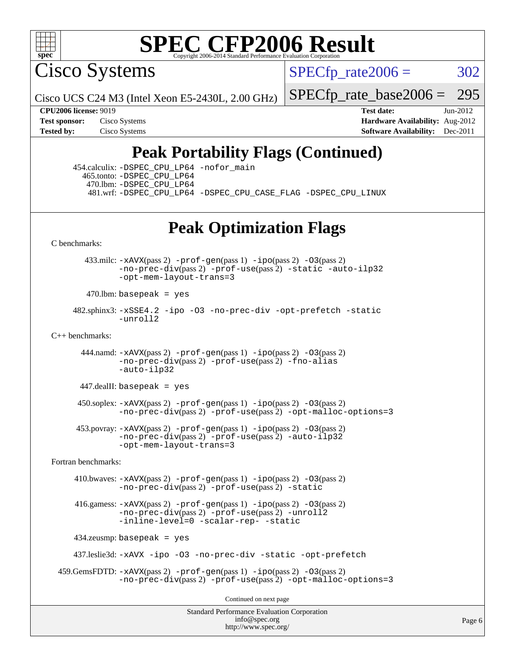

Cisco Systems

 $SPECTp\_rate2006 = 302$ 

Cisco UCS C24 M3 (Intel Xeon E5-2430L, 2.00 GHz)

[SPECfp\\_rate\\_base2006 =](http://www.spec.org/auto/cpu2006/Docs/result-fields.html#SPECfpratebase2006) 295

**[CPU2006 license:](http://www.spec.org/auto/cpu2006/Docs/result-fields.html#CPU2006license)** 9019 **[Test date:](http://www.spec.org/auto/cpu2006/Docs/result-fields.html#Testdate)** Jun-2012 **[Test sponsor:](http://www.spec.org/auto/cpu2006/Docs/result-fields.html#Testsponsor)** Cisco Systems **[Hardware Availability:](http://www.spec.org/auto/cpu2006/Docs/result-fields.html#HardwareAvailability)** Aug-2012 **[Tested by:](http://www.spec.org/auto/cpu2006/Docs/result-fields.html#Testedby)** Cisco Systems **[Software Availability:](http://www.spec.org/auto/cpu2006/Docs/result-fields.html#SoftwareAvailability)** Dec-2011

## **[Peak Portability Flags \(Continued\)](http://www.spec.org/auto/cpu2006/Docs/result-fields.html#PeakPortabilityFlags)**

 454.calculix: [-DSPEC\\_CPU\\_LP64](http://www.spec.org/cpu2006/results/res2012q3/cpu2006-20120618-22981.flags.html#suite_peakPORTABILITY454_calculix_DSPEC_CPU_LP64) [-nofor\\_main](http://www.spec.org/cpu2006/results/res2012q3/cpu2006-20120618-22981.flags.html#user_peakLDPORTABILITY454_calculix_f-nofor_main) 465.tonto: [-DSPEC\\_CPU\\_LP64](http://www.spec.org/cpu2006/results/res2012q3/cpu2006-20120618-22981.flags.html#suite_peakPORTABILITY465_tonto_DSPEC_CPU_LP64) 470.lbm: [-DSPEC\\_CPU\\_LP64](http://www.spec.org/cpu2006/results/res2012q3/cpu2006-20120618-22981.flags.html#suite_peakPORTABILITY470_lbm_DSPEC_CPU_LP64) 481.wrf: [-DSPEC\\_CPU\\_LP64](http://www.spec.org/cpu2006/results/res2012q3/cpu2006-20120618-22981.flags.html#suite_peakPORTABILITY481_wrf_DSPEC_CPU_LP64) [-DSPEC\\_CPU\\_CASE\\_FLAG](http://www.spec.org/cpu2006/results/res2012q3/cpu2006-20120618-22981.flags.html#b481.wrf_peakCPORTABILITY_DSPEC_CPU_CASE_FLAG) [-DSPEC\\_CPU\\_LINUX](http://www.spec.org/cpu2006/results/res2012q3/cpu2006-20120618-22981.flags.html#b481.wrf_peakCPORTABILITY_DSPEC_CPU_LINUX)

## **[Peak Optimization Flags](http://www.spec.org/auto/cpu2006/Docs/result-fields.html#PeakOptimizationFlags)**

[C benchmarks](http://www.spec.org/auto/cpu2006/Docs/result-fields.html#Cbenchmarks):

 433.milc: [-xAVX](http://www.spec.org/cpu2006/results/res2012q3/cpu2006-20120618-22981.flags.html#user_peakPASS2_CFLAGSPASS2_LDFLAGS433_milc_f-xAVX)(pass 2) [-prof-gen](http://www.spec.org/cpu2006/results/res2012q3/cpu2006-20120618-22981.flags.html#user_peakPASS1_CFLAGSPASS1_LDFLAGS433_milc_prof_gen_e43856698f6ca7b7e442dfd80e94a8fc)(pass 1) [-ipo](http://www.spec.org/cpu2006/results/res2012q3/cpu2006-20120618-22981.flags.html#user_peakPASS2_CFLAGSPASS2_LDFLAGS433_milc_f-ipo)(pass 2) [-O3](http://www.spec.org/cpu2006/results/res2012q3/cpu2006-20120618-22981.flags.html#user_peakPASS2_CFLAGSPASS2_LDFLAGS433_milc_f-O3)(pass 2) [-no-prec-div](http://www.spec.org/cpu2006/results/res2012q3/cpu2006-20120618-22981.flags.html#user_peakPASS2_CFLAGSPASS2_LDFLAGS433_milc_f-no-prec-div)(pass 2) [-prof-use](http://www.spec.org/cpu2006/results/res2012q3/cpu2006-20120618-22981.flags.html#user_peakPASS2_CFLAGSPASS2_LDFLAGS433_milc_prof_use_bccf7792157ff70d64e32fe3e1250b55)(pass 2) [-static](http://www.spec.org/cpu2006/results/res2012q3/cpu2006-20120618-22981.flags.html#user_peakOPTIMIZE433_milc_f-static) [-auto-ilp32](http://www.spec.org/cpu2006/results/res2012q3/cpu2006-20120618-22981.flags.html#user_peakCOPTIMIZE433_milc_f-auto-ilp32) [-opt-mem-layout-trans=3](http://www.spec.org/cpu2006/results/res2012q3/cpu2006-20120618-22981.flags.html#user_peakCOPTIMIZE433_milc_f-opt-mem-layout-trans_a7b82ad4bd7abf52556d4961a2ae94d5)

 $470$ .lbm: basepeak = yes

 482.sphinx3: [-xSSE4.2](http://www.spec.org/cpu2006/results/res2012q3/cpu2006-20120618-22981.flags.html#user_peakOPTIMIZE482_sphinx3_f-xSSE42_f91528193cf0b216347adb8b939d4107) [-ipo](http://www.spec.org/cpu2006/results/res2012q3/cpu2006-20120618-22981.flags.html#user_peakOPTIMIZE482_sphinx3_f-ipo) [-O3](http://www.spec.org/cpu2006/results/res2012q3/cpu2006-20120618-22981.flags.html#user_peakOPTIMIZE482_sphinx3_f-O3) [-no-prec-div](http://www.spec.org/cpu2006/results/res2012q3/cpu2006-20120618-22981.flags.html#user_peakOPTIMIZE482_sphinx3_f-no-prec-div) [-opt-prefetch](http://www.spec.org/cpu2006/results/res2012q3/cpu2006-20120618-22981.flags.html#user_peakOPTIMIZE482_sphinx3_f-opt-prefetch) [-static](http://www.spec.org/cpu2006/results/res2012q3/cpu2006-20120618-22981.flags.html#user_peakOPTIMIZE482_sphinx3_f-static) [-unroll2](http://www.spec.org/cpu2006/results/res2012q3/cpu2006-20120618-22981.flags.html#user_peakCOPTIMIZE482_sphinx3_f-unroll_784dae83bebfb236979b41d2422d7ec2)

 $C_{++}$  benchmarks:

444.namd:  $-xAVX(pass 2)$  $-xAVX(pass 2)$  [-prof-gen](http://www.spec.org/cpu2006/results/res2012q3/cpu2006-20120618-22981.flags.html#user_peakPASS1_CXXFLAGSPASS1_LDFLAGS444_namd_prof_gen_e43856698f6ca7b7e442dfd80e94a8fc)(pass 1) [-ipo](http://www.spec.org/cpu2006/results/res2012q3/cpu2006-20120618-22981.flags.html#user_peakPASS2_CXXFLAGSPASS2_LDFLAGS444_namd_f-ipo)(pass 2) [-O3](http://www.spec.org/cpu2006/results/res2012q3/cpu2006-20120618-22981.flags.html#user_peakPASS2_CXXFLAGSPASS2_LDFLAGS444_namd_f-O3)(pass 2) [-no-prec-div](http://www.spec.org/cpu2006/results/res2012q3/cpu2006-20120618-22981.flags.html#user_peakPASS2_CXXFLAGSPASS2_LDFLAGS444_namd_f-no-prec-div)(pass 2) [-prof-use](http://www.spec.org/cpu2006/results/res2012q3/cpu2006-20120618-22981.flags.html#user_peakPASS2_CXXFLAGSPASS2_LDFLAGS444_namd_prof_use_bccf7792157ff70d64e32fe3e1250b55)(pass 2) [-fno-alias](http://www.spec.org/cpu2006/results/res2012q3/cpu2006-20120618-22981.flags.html#user_peakCXXOPTIMIZE444_namd_f-no-alias_694e77f6c5a51e658e82ccff53a9e63a) [-auto-ilp32](http://www.spec.org/cpu2006/results/res2012q3/cpu2006-20120618-22981.flags.html#user_peakCXXOPTIMIZE444_namd_f-auto-ilp32)

 $447$ .dealII: basepeak = yes

 $450$ .soplex:  $-x$ AVX(pass 2)  $-p$ rof-gen(pass 1)  $-i$ po(pass 2)  $-03$ (pass 2) [-no-prec-div](http://www.spec.org/cpu2006/results/res2012q3/cpu2006-20120618-22981.flags.html#user_peakPASS2_CXXFLAGSPASS2_LDFLAGS450_soplex_f-no-prec-div)(pass 2) [-prof-use](http://www.spec.org/cpu2006/results/res2012q3/cpu2006-20120618-22981.flags.html#user_peakPASS2_CXXFLAGSPASS2_LDFLAGS450_soplex_prof_use_bccf7792157ff70d64e32fe3e1250b55)(pass 2) [-opt-malloc-options=3](http://www.spec.org/cpu2006/results/res2012q3/cpu2006-20120618-22981.flags.html#user_peakOPTIMIZE450_soplex_f-opt-malloc-options_13ab9b803cf986b4ee62f0a5998c2238)

 453.povray: [-xAVX](http://www.spec.org/cpu2006/results/res2012q3/cpu2006-20120618-22981.flags.html#user_peakPASS2_CXXFLAGSPASS2_LDFLAGS453_povray_f-xAVX)(pass 2) [-prof-gen](http://www.spec.org/cpu2006/results/res2012q3/cpu2006-20120618-22981.flags.html#user_peakPASS1_CXXFLAGSPASS1_LDFLAGS453_povray_prof_gen_e43856698f6ca7b7e442dfd80e94a8fc)(pass 1) [-ipo](http://www.spec.org/cpu2006/results/res2012q3/cpu2006-20120618-22981.flags.html#user_peakPASS2_CXXFLAGSPASS2_LDFLAGS453_povray_f-ipo)(pass 2) [-O3](http://www.spec.org/cpu2006/results/res2012q3/cpu2006-20120618-22981.flags.html#user_peakPASS2_CXXFLAGSPASS2_LDFLAGS453_povray_f-O3)(pass 2) [-no-prec-div](http://www.spec.org/cpu2006/results/res2012q3/cpu2006-20120618-22981.flags.html#user_peakPASS2_CXXFLAGSPASS2_LDFLAGS453_povray_f-no-prec-div)(pass 2) [-prof-use](http://www.spec.org/cpu2006/results/res2012q3/cpu2006-20120618-22981.flags.html#user_peakPASS2_CXXFLAGSPASS2_LDFLAGS453_povray_prof_use_bccf7792157ff70d64e32fe3e1250b55)(pass 2) [-auto-ilp32](http://www.spec.org/cpu2006/results/res2012q3/cpu2006-20120618-22981.flags.html#user_peakCXXOPTIMIZE453_povray_f-auto-ilp32) [-opt-mem-layout-trans=3](http://www.spec.org/cpu2006/results/res2012q3/cpu2006-20120618-22981.flags.html#user_peakCXXOPTIMIZE453_povray_f-opt-mem-layout-trans_a7b82ad4bd7abf52556d4961a2ae94d5)

[Fortran benchmarks](http://www.spec.org/auto/cpu2006/Docs/result-fields.html#Fortranbenchmarks):

 410.bwaves: [-xAVX](http://www.spec.org/cpu2006/results/res2012q3/cpu2006-20120618-22981.flags.html#user_peakPASS2_FFLAGSPASS2_LDFLAGS410_bwaves_f-xAVX)(pass 2) [-prof-gen](http://www.spec.org/cpu2006/results/res2012q3/cpu2006-20120618-22981.flags.html#user_peakPASS1_FFLAGSPASS1_LDFLAGS410_bwaves_prof_gen_e43856698f6ca7b7e442dfd80e94a8fc)(pass 1) [-ipo](http://www.spec.org/cpu2006/results/res2012q3/cpu2006-20120618-22981.flags.html#user_peakPASS2_FFLAGSPASS2_LDFLAGS410_bwaves_f-ipo)(pass 2) [-O3](http://www.spec.org/cpu2006/results/res2012q3/cpu2006-20120618-22981.flags.html#user_peakPASS2_FFLAGSPASS2_LDFLAGS410_bwaves_f-O3)(pass 2) [-no-prec-div](http://www.spec.org/cpu2006/results/res2012q3/cpu2006-20120618-22981.flags.html#user_peakPASS2_FFLAGSPASS2_LDFLAGS410_bwaves_f-no-prec-div)(pass 2) [-prof-use](http://www.spec.org/cpu2006/results/res2012q3/cpu2006-20120618-22981.flags.html#user_peakPASS2_FFLAGSPASS2_LDFLAGS410_bwaves_prof_use_bccf7792157ff70d64e32fe3e1250b55)(pass 2) [-static](http://www.spec.org/cpu2006/results/res2012q3/cpu2006-20120618-22981.flags.html#user_peakOPTIMIZE410_bwaves_f-static)

 416.gamess: [-xAVX](http://www.spec.org/cpu2006/results/res2012q3/cpu2006-20120618-22981.flags.html#user_peakPASS2_FFLAGSPASS2_LDFLAGS416_gamess_f-xAVX)(pass 2) [-prof-gen](http://www.spec.org/cpu2006/results/res2012q3/cpu2006-20120618-22981.flags.html#user_peakPASS1_FFLAGSPASS1_LDFLAGS416_gamess_prof_gen_e43856698f6ca7b7e442dfd80e94a8fc)(pass 1) [-ipo](http://www.spec.org/cpu2006/results/res2012q3/cpu2006-20120618-22981.flags.html#user_peakPASS2_FFLAGSPASS2_LDFLAGS416_gamess_f-ipo)(pass 2) [-O3](http://www.spec.org/cpu2006/results/res2012q3/cpu2006-20120618-22981.flags.html#user_peakPASS2_FFLAGSPASS2_LDFLAGS416_gamess_f-O3)(pass 2) [-no-prec-div](http://www.spec.org/cpu2006/results/res2012q3/cpu2006-20120618-22981.flags.html#user_peakPASS2_FFLAGSPASS2_LDFLAGS416_gamess_f-no-prec-div)(pass 2) [-prof-use](http://www.spec.org/cpu2006/results/res2012q3/cpu2006-20120618-22981.flags.html#user_peakPASS2_FFLAGSPASS2_LDFLAGS416_gamess_prof_use_bccf7792157ff70d64e32fe3e1250b55)(pass 2) [-unroll2](http://www.spec.org/cpu2006/results/res2012q3/cpu2006-20120618-22981.flags.html#user_peakOPTIMIZE416_gamess_f-unroll_784dae83bebfb236979b41d2422d7ec2) [-inline-level=0](http://www.spec.org/cpu2006/results/res2012q3/cpu2006-20120618-22981.flags.html#user_peakOPTIMIZE416_gamess_f-inline-level_318d07a09274ad25e8d15dbfaa68ba50) [-scalar-rep-](http://www.spec.org/cpu2006/results/res2012q3/cpu2006-20120618-22981.flags.html#user_peakOPTIMIZE416_gamess_f-disablescalarrep_abbcad04450fb118e4809c81d83c8a1d) [-static](http://www.spec.org/cpu2006/results/res2012q3/cpu2006-20120618-22981.flags.html#user_peakOPTIMIZE416_gamess_f-static)

434.zeusmp: basepeak = yes

437.leslie3d: [-xAVX](http://www.spec.org/cpu2006/results/res2012q3/cpu2006-20120618-22981.flags.html#user_peakOPTIMIZE437_leslie3d_f-xAVX) [-ipo](http://www.spec.org/cpu2006/results/res2012q3/cpu2006-20120618-22981.flags.html#user_peakOPTIMIZE437_leslie3d_f-ipo) [-O3](http://www.spec.org/cpu2006/results/res2012q3/cpu2006-20120618-22981.flags.html#user_peakOPTIMIZE437_leslie3d_f-O3) [-no-prec-div](http://www.spec.org/cpu2006/results/res2012q3/cpu2006-20120618-22981.flags.html#user_peakOPTIMIZE437_leslie3d_f-no-prec-div) [-static](http://www.spec.org/cpu2006/results/res2012q3/cpu2006-20120618-22981.flags.html#user_peakOPTIMIZE437_leslie3d_f-static) [-opt-prefetch](http://www.spec.org/cpu2006/results/res2012q3/cpu2006-20120618-22981.flags.html#user_peakOPTIMIZE437_leslie3d_f-opt-prefetch)

```
 459.GemsFDTD: -xAVX(pass 2) -prof-gen(pass 1) -ipo(pass 2) -O3(pass 2)
              -no-prec-div(pass 2) -prof-use(pass 2) -opt-malloc-options=3
```
Continued on next page